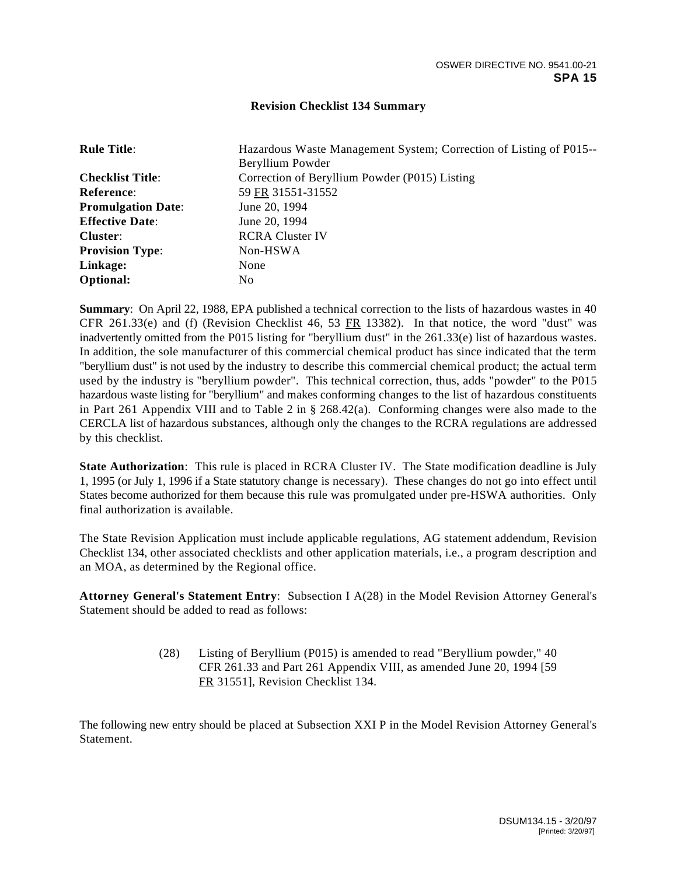## **Revision Checklist 134 Summary**

| <b>Rule Title:</b>        | Hazardous Waste Management System; Correction of Listing of P015--<br>Beryllium Powder |
|---------------------------|----------------------------------------------------------------------------------------|
| <b>Checklist Title:</b>   | Correction of Beryllium Powder (P015) Listing                                          |
| <b>Reference:</b>         | 59 FR 31551-31552                                                                      |
| <b>Promulgation Date:</b> | June 20, 1994                                                                          |
| <b>Effective Date:</b>    | June 20, 1994                                                                          |
| Cluster:                  | <b>RCRA Cluster IV</b>                                                                 |
| <b>Provision Type:</b>    | Non-HSWA                                                                               |
| Linkage:                  | None                                                                                   |
| <b>Optional:</b>          | No.                                                                                    |

**Summary**: On April 22, 1988, EPA published a technical correction to the lists of hazardous wastes in 40 CFR 261.33(e) and (f) (Revision Checklist 46, 53 FR 13382). In that notice, the word "dust" was inadvertently omitted from the P015 listing for "beryllium dust" in the 261.33(e) list of hazardous wastes. In addition, the sole manufacturer of this commercial chemical product has since indicated that the term "beryllium dust" is not used by the industry to describe this commercial chemical product; the actual term used by the industry is "beryllium powder". This technical correction, thus, adds "powder" to the P015 hazardous waste listing for "beryllium" and makes conforming changes to the list of hazardous constituents in Part 261 Appendix VIII and to Table 2 in § 268.42(a). Conforming changes were also made to the CERCLA list of hazardous substances, although only the changes to the RCRA regulations are addressed by this checklist.

**State Authorization**: This rule is placed in RCRA Cluster IV. The State modification deadline is July 1, 1995 (or July 1, 1996 if a State statutory change is necessary). These changes do not go into effect until States become authorized for them because this rule was promulgated under pre-HSWA authorities. Only final authorization is available.

The State Revision Application must include applicable regulations, AG statement addendum, Revision Checklist 134, other associated checklists and other application materials, i.e., a program description and an MOA, as determined by the Regional office.

**Attorney General's Statement Entry**: Subsection I A(28) in the Model Revision Attorney General's Statement should be added to read as follows:

> (28) Listing of Beryllium (P015) is amended to read "Beryllium powder," 40 CFR 261.33 and Part 261 Appendix VIII, as amended June 20, 1994 [59 FR 31551], Revision Checklist 134.

The following new entry should be placed at Subsection XXI P in the Model Revision Attorney General's Statement.